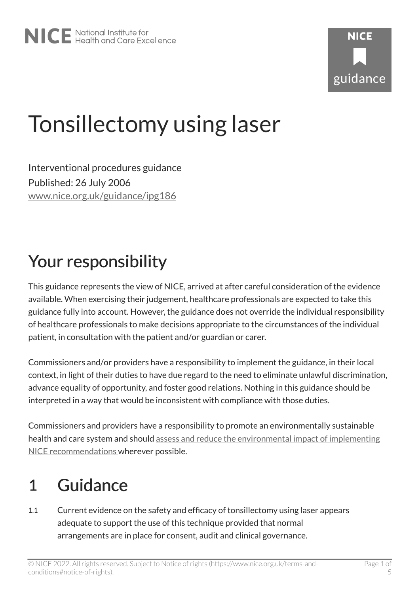# Tonsillectomy using laser

Interventional procedures guidance Published: 26 July 2006 [www.nice.org.uk/guidance/ipg186](https://www.nice.org.uk/guidance/ipg186) 

# Your responsibility

This guidance represents the view of NICE, arrived at after careful consideration of the evidence available. When exercising their judgement, healthcare professionals are expected to take this guidance fully into account. However, the guidance does not override the individual responsibility of healthcare professionals to make decisions appropriate to the circumstances of the individual patient, in consultation with the patient and/or guardian or carer.

Commissioners and/or providers have a responsibility to implement the guidance, in their local context, in light of their duties to have due regard to the need to eliminate unlawful discrimination, advance equality of opportunity, and foster good relations. Nothing in this guidance should be interpreted in a way that would be inconsistent with compliance with those duties.

Commissioners and providers have a responsibility to promote an environmentally sustainable health and care system and should [assess and reduce the environmental impact of implementing](https://www.nice.org.uk/about/who-we-are/sustainability)  [NICE recommendations w](https://www.nice.org.uk/about/who-we-are/sustainability)herever possible.

### 1 Guidance

1.1 Current evidence on the safety and efficacy of tonsillectomy using laser appears adequate to support the use of this technique provided that normal arrangements are in place for consent, audit and clinical governance.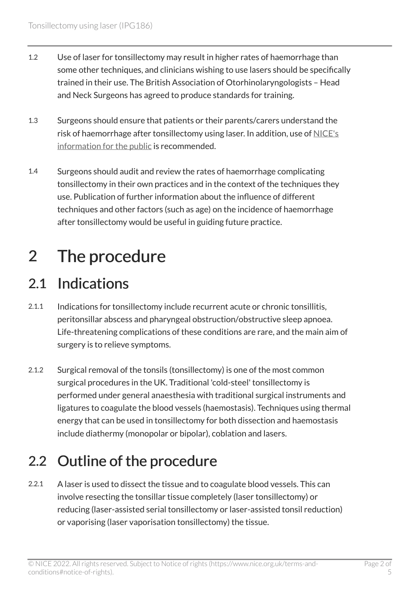- 1.2 Use of laser for tonsillectomy may result in higher rates of haemorrhage than some other techniques, and clinicians wishing to use lasers should be specifically trained in their use. The British Association of Otorhinolaryngologists – Head and Neck Surgeons has agreed to produce standards for training.
- 1.3 Surgeons should ensure that patients or their parents/carers understand the risk of haemorrhage after tonsillectomy using laser. In addition, use of [NICE's](https://www.nice.org.uk/guidance/ipg186/informationforpublic) [information for the public](https://www.nice.org.uk/guidance/ipg186/informationforpublic) is recommended.
- 1.4 Surgeons should audit and review the rates of haemorrhage complicating tonsillectomy in their own practices and in the context of the techniques they use. Publication of further information about the influence of different techniques and other factors (such as age) on the incidence of haemorrhage after tonsillectomy would be useful in guiding future practice.

# 2 The procedure

#### 2.1 Indications

- 2.1.1 Indications for tonsillectomy include recurrent acute or chronic tonsillitis, peritonsillar abscess and pharyngeal obstruction/obstructive sleep apnoea. Life-threatening complications of these conditions are rare, and the main aim of surgery is to relieve symptoms.
- 2.1.2 Surgical removal of the tonsils (tonsillectomy) is one of the most common surgical procedures in the UK. Traditional 'cold-steel' tonsillectomy is performed under general anaesthesia with traditional surgical instruments and ligatures to coagulate the blood vessels (haemostasis). Techniques using thermal energy that can be used in tonsillectomy for both dissection and haemostasis include diathermy (monopolar or bipolar), coblation and lasers.

#### 2.2 Outline of the procedure

2.2.1 A laser is used to dissect the tissue and to coagulate blood vessels. This can involve resecting the tonsillar tissue completely (laser tonsillectomy) or reducing (laser-assisted serial tonsillectomy or laser-assisted tonsil reduction) or vaporising (laser vaporisation tonsillectomy) the tissue.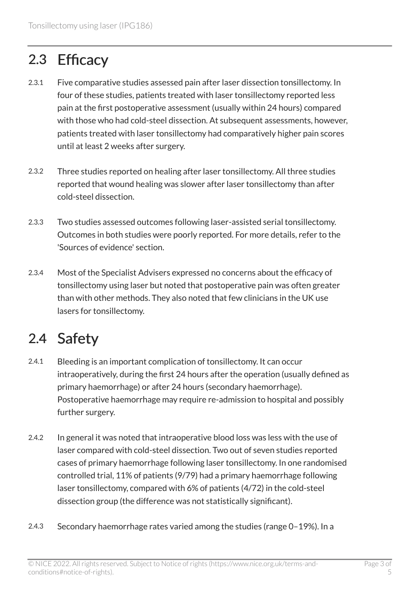#### 2.3 Efficacy

- 2.3.1 Five comparative studies assessed pain after laser dissection tonsillectomy. In four of these studies, patients treated with laser tonsillectomy reported less pain at the first postoperative assessment (usually within 24 hours) compared with those who had cold-steel dissection. At subsequent assessments, however, patients treated with laser tonsillectomy had comparatively higher pain scores until at least 2 weeks after surgery.
- 2.3.2 Three studies reported on healing after laser tonsillectomy. All three studies reported that wound healing was slower after laser tonsillectomy than after cold-steel dissection.
- 2.3.3 Two studies assessed outcomes following laser-assisted serial tonsillectomy. Outcomes in both studies were poorly reported. For more details, refer to the 'Sources of evidence' section.
- 2.3.4 Most of the Specialist Advisers expressed no concerns about the efficacy of tonsillectomy using laser but noted that postoperative pain was often greater than with other methods. They also noted that few clinicians in the UK use lasers for tonsillectomy.

#### 2.4 Safety

- 2.4.1 Bleeding is an important complication of tonsillectomy. It can occur intraoperatively, during the first 24 hours after the operation (usually defined as primary haemorrhage) or after 24 hours (secondary haemorrhage). Postoperative haemorrhage may require re-admission to hospital and possibly further surgery.
- 2.4.2 In general it was noted that intraoperative blood loss was less with the use of laser compared with cold-steel dissection. Two out of seven studies reported cases of primary haemorrhage following laser tonsillectomy. In one randomised controlled trial, 11% of patients (9/79) had a primary haemorrhage following laser tonsillectomy, compared with 6% of patients (4/72) in the cold-steel dissection group (the difference was not statistically significant).
- 2.4.3 Secondary haemorrhage rates varied among the studies (range 0–19%). In a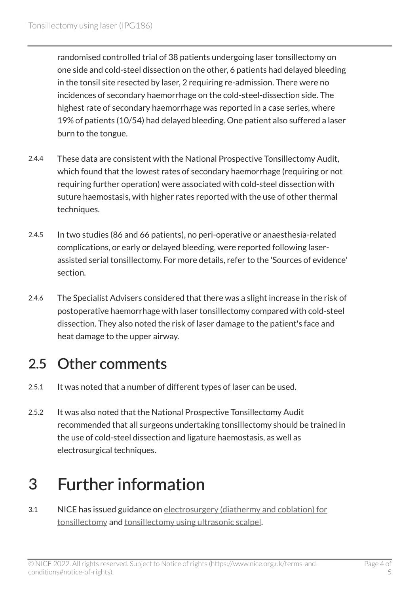randomised controlled trial of 38 patients undergoing laser tonsillectomy on one side and cold-steel dissection on the other, 6 patients had delayed bleeding in the tonsil site resected by laser, 2 requiring re-admission. There were no incidences of secondary haemorrhage on the cold-steel-dissection side. The highest rate of secondary haemorrhage was reported in a case series, where 19% of patients (10/54) had delayed bleeding. One patient also suffered a laser burn to the tongue.

- 2.4.4 These data are consistent with the National Prospective Tonsillectomy Audit, which found that the lowest rates of secondary haemorrhage (requiring or not requiring further operation) were associated with cold-steel dissection with suture haemostasis, with higher rates reported with the use of other thermal techniques.
- 2.4.5 In two studies (86 and 66 patients), no peri-operative or anaesthesia-related complications, or early or delayed bleeding, were reported following laserassisted serial tonsillectomy. For more details, refer to the 'Sources of evidence' section.
- 2.4.6 The Specialist Advisers considered that there was a slight increase in the risk of postoperative haemorrhage with laser tonsillectomy compared with cold-steel dissection. They also noted the risk of laser damage to the patient's face and heat damage to the upper airway.

#### 2.5 Other comments

- 2.5.1 It was noted that a number of different types of laser can be used.
- 2.5.2 It was also noted that the National Prospective Tonsillectomy Audit recommended that all surgeons undertaking tonsillectomy should be trained in the use of cold-steel dissection and ligature haemostasis, as well as electrosurgical techniques.

# 3 Further information

3.1 NICE has issued guidance on [electrosurgery \(diathermy and coblation\) for](https://www.nice.org.uk/guidance/ipg150) [tonsillectomy](https://www.nice.org.uk/guidance/ipg150) and [tonsillectomy using ultrasonic scalpel](https://www.nice.org.uk/guidance/ipg178).